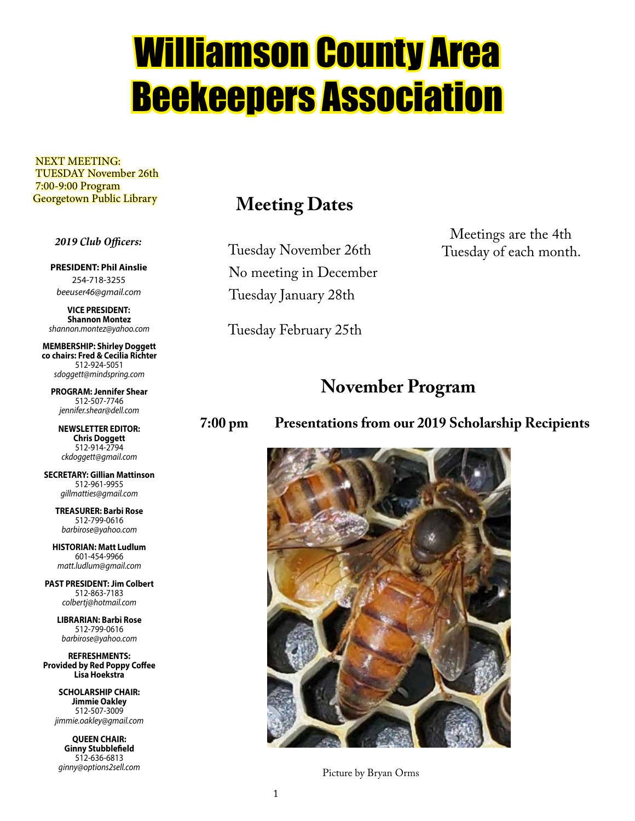# Williamson County Area Beekeepers Association

 NEXT MEETING: TUESDAY November 26th 7:00-9:00 Program Georgetown Public Library

### *2019 Club Officers:*

**PRESIDENT: Phil Ainslie** 254-718-3255 *beeuser46@gmail.com*

**VICE PRESIDENT: Shannon Montez** *shannon.montez@yahoo.com*

**MEMBERSHIP: Shirley Doggett co chairs: Fred & Cecilia Richter** 512-924-5051 *sdoggett@mindspring.com*

**PROGRAM: Jennifer Shear** 512-507-7746 *jennifer.shear@dell.com*

**NEWSLETTER EDITOR: Chris Doggett** 512-914-2794 *ckdoggett@gmail.com*

**SECRETARY: Gillian Mattinson** 512-961-9955 *gillmatties@gmail.com*

> **TREASURER: Barbi Rose** 512-799-0616 *barbirose@yahoo.com*

**HISTORIAN: Matt Ludlum** 601-454-9966 *matt.ludlum@gmail.com*

**PAST PRESIDENT: Jim Colbert** 512-863-7183 *colbertj@hotmail.com*

> **LIBRARIAN: Barbi Rose** 512-799-0616 *barbirose@yahoo.com*

**REFRESHMENTS: Provided by Red Poppy Coffee Lisa Hoekstra**

> **SCHOLARSHIP CHAIR: Jimmie Oakley** 512-507-3009 *jimmie.oakley@gmail.com*

**QUEEN CHAIR: Ginny Stubblefield** 512-636-6813 *ginny@options2sell.com*

### **Meeting Dates**

Tuesday November 26th No meeting in December Tuesday January 28th

Tuesday February 25th

Meetings are the 4th Tuesday of each month.

### **November Program**

**7:00 pm Presentations from our 2019 Scholarship Recipients**



Picture by Bryan Orms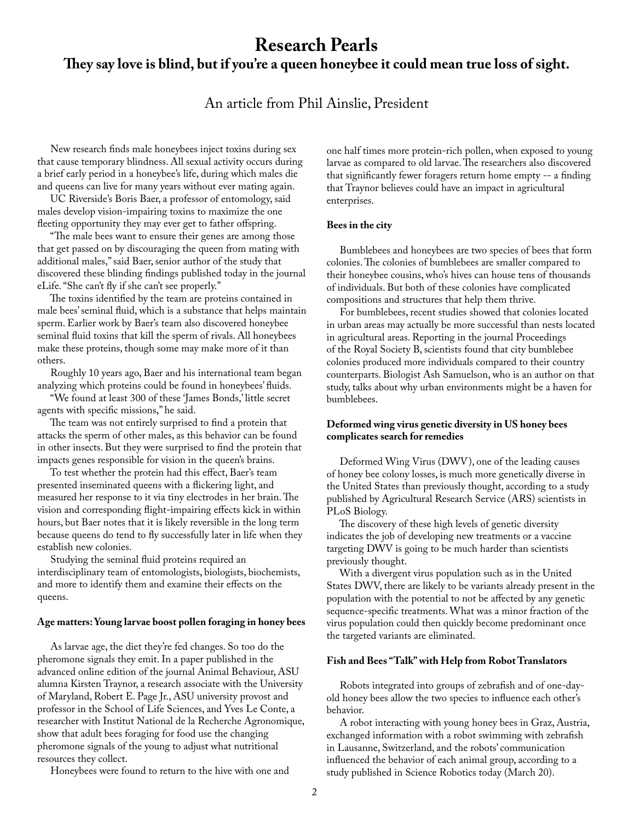### **Research Pearls They say love is blind, but if you're a queen honeybee it could mean true loss of sight.**

### An article from Phil Ainslie, President

 New research finds male honeybees inject toxins during sex that cause temporary blindness. All sexual activity occurs during a brief early period in a honeybee's life, during which males die and queens can live for many years without ever mating again.

 UC Riverside's Boris Baer, a professor of entomology, said males develop vision-impairing toxins to maximize the one fleeting opportunity they may ever get to father offspring.

 "The male bees want to ensure their genes are among those that get passed on by discouraging the queen from mating with additional males," said Baer, senior author of the study that discovered these blinding findings published today in the journal eLife. "She can't fly if she can't see properly."

 The toxins identified by the team are proteins contained in male bees' seminal fluid, which is a substance that helps maintain sperm. Earlier work by Baer's team also discovered honeybee seminal fluid toxins that kill the sperm of rivals. All honeybees make these proteins, though some may make more of it than others.

 Roughly 10 years ago, Baer and his international team began analyzing which proteins could be found in honeybees' fluids.

 "We found at least 300 of these 'James Bonds,' little secret agents with specific missions," he said.

 The team was not entirely surprised to find a protein that attacks the sperm of other males, as this behavior can be found in other insects. But they were surprised to find the protein that impacts genes responsible for vision in the queen's brains.

 To test whether the protein had this effect, Baer's team presented inseminated queens with a flickering light, and measured her response to it via tiny electrodes in her brain. The vision and corresponding flight-impairing effects kick in within hours, but Baer notes that it is likely reversible in the long term because queens do tend to fly successfully later in life when they establish new colonies.

 Studying the seminal fluid proteins required an interdisciplinary team of entomologists, biologists, biochemists, and more to identify them and examine their effects on the queens.

#### **Age matters: Young larvae boost pollen foraging in honey bees**

 As larvae age, the diet they're fed changes. So too do the pheromone signals they emit. In a paper published in the advanced online edition of the journal Animal Behaviour, ASU alumna Kirsten Traynor, a research associate with the University of Maryland, Robert E. Page Jr., ASU university provost and professor in the School of Life Sciences, and Yves Le Conte, a researcher with Institut National de la Recherche Agronomique, show that adult bees foraging for food use the changing pheromone signals of the young to adjust what nutritional resources they collect.

Honeybees were found to return to the hive with one and

one half times more protein-rich pollen, when exposed to young larvae as compared to old larvae. The researchers also discovered that significantly fewer foragers return home empty -- a finding that Traynor believes could have an impact in agricultural enterprises.

#### **Bees in the city**

 Bumblebees and honeybees are two species of bees that form colonies. The colonies of bumblebees are smaller compared to their honeybee cousins, who's hives can house tens of thousands of individuals. But both of these colonies have complicated compositions and structures that help them thrive.

 For bumblebees, recent studies showed that colonies located in urban areas may actually be more successful than nests located in agricultural areas. Reporting in the journal Proceedings of the Royal Society B, scientists found that city bumblebee colonies produced more individuals compared to their country counterparts. Biologist Ash Samuelson, who is an author on that study, talks about why urban environments might be a haven for bumblebees.

### **Deformed wing virus genetic diversity in US honey bees complicates search for remedies**

 Deformed Wing Virus (DWV), one of the leading causes of honey bee colony losses, is much more genetically diverse in the United States than previously thought, according to a study published by Agricultural Research Service (ARS) scientists in PLoS Biology.

 The discovery of these high levels of genetic diversity indicates the job of developing new treatments or a vaccine targeting DWV is going to be much harder than scientists previously thought.

 With a divergent virus population such as in the United States DWV, there are likely to be variants already present in the population with the potential to not be affected by any genetic sequence-specific treatments. What was a minor fraction of the virus population could then quickly become predominant once the targeted variants are eliminated.

### **Fish and Bees "Talk" with Help from Robot Translators**

 Robots integrated into groups of zebrafish and of one-dayold honey bees allow the two species to influence each other's behavior.

 A robot interacting with young honey bees in Graz, Austria, exchanged information with a robot swimming with zebrafish in Lausanne, Switzerland, and the robots' communication influenced the behavior of each animal group, according to a study published in Science Robotics today (March 20).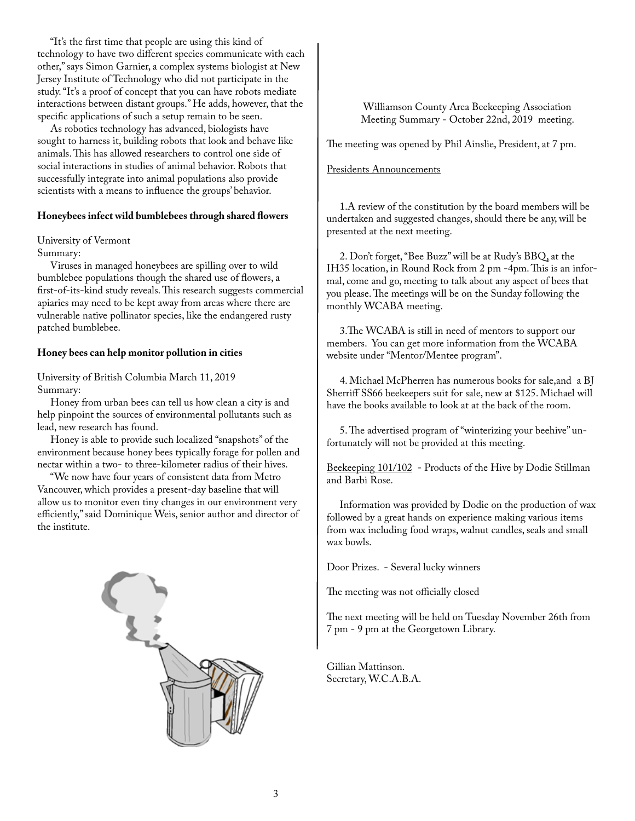"It's the first time that people are using this kind of technology to have two different species communicate with each other," says Simon Garnier, a complex systems biologist at New Jersey Institute of Technology who did not participate in the study. "It's a proof of concept that you can have robots mediate interactions between distant groups." He adds, however, that the specific applications of such a setup remain to be seen.

 As robotics technology has advanced, biologists have sought to harness it, building robots that look and behave like animals. This has allowed researchers to control one side of social interactions in studies of animal behavior. Robots that successfully integrate into animal populations also provide scientists with a means to influence the groups' behavior.

### **Honeybees infect wild bumblebees through shared flowers**

### University of Vermont

Summary:

 Viruses in managed honeybees are spilling over to wild bumblebee populations though the shared use of flowers, a first-of-its-kind study reveals. This research suggests commercial apiaries may need to be kept away from areas where there are vulnerable native pollinator species, like the endangered rusty patched bumblebee.

#### **Honey bees can help monitor pollution in cities**

University of British Columbia March 11, 2019 Summary:

 Honey from urban bees can tell us how clean a city is and help pinpoint the sources of environmental pollutants such as lead, new research has found.

 Honey is able to provide such localized "snapshots" of the environment because honey bees typically forage for pollen and nectar within a two- to three-kilometer radius of their hives.

 "We now have four years of consistent data from Metro Vancouver, which provides a present-day baseline that will allow us to monitor even tiny changes in our environment very efficiently," said Dominique Weis, senior author and director of the institute.



 Williamson County Area Beekeeping Association Meeting Summary - October 22nd, 2019 meeting.

The meeting was opened by Phil Ainslie, President, at 7 pm.

#### Presidents Announcements

 1.A review of the constitution by the board members will be undertaken and suggested changes, should there be any, will be presented at the next meeting.

 2. Don't forget, "Bee Buzz" will be at Rudy's BBQ, at the IH35 location, in Round Rock from 2 pm -4pm. This is an informal, come and go, meeting to talk about any aspect of bees that you please. The meetings will be on the Sunday following the monthly WCABA meeting.

 3.The WCABA is still in need of mentors to support our members. You can get more information from the WCABA website under "Mentor/Mentee program".

 4. Michael McPherren has numerous books for sale,and a BJ Sherriff SS66 beekeepers suit for sale, new at \$125. Michael will have the books available to look at at the back of the room.

 5. The advertised program of "winterizing your beehive" unfortunately will not be provided at this meeting.

Beekeeping 101/102 - Products of the Hive by Dodie Stillman and Barbi Rose.

 Information was provided by Dodie on the production of wax followed by a great hands on experience making various items from wax including food wraps, walnut candles, seals and small wax bowls.

Door Prizes. - Several lucky winners

The meeting was not officially closed

The next meeting will be held on Tuesday November 26th from 7 pm - 9 pm at the Georgetown Library.

Gillian Mattinson. Secretary, W.C.A.B.A.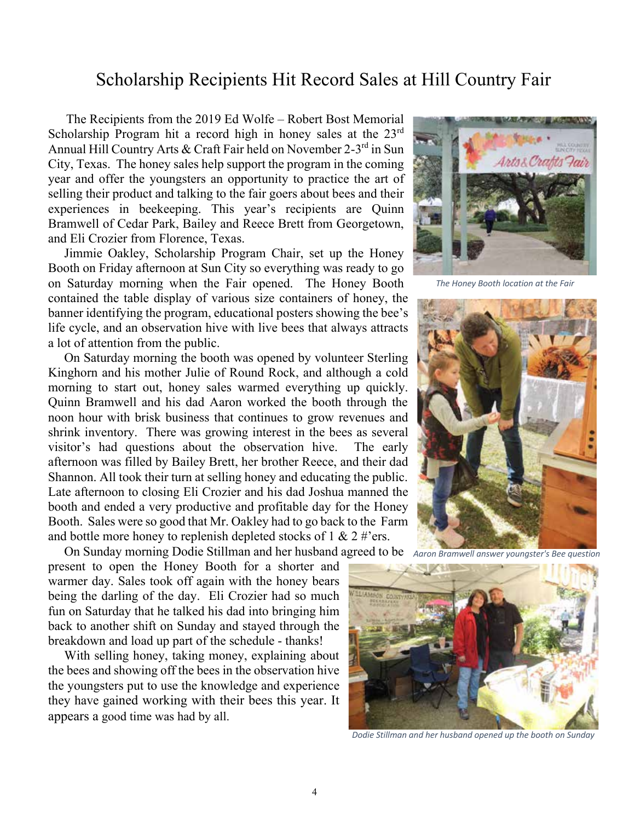### Scholarship Recipients Hit Record Sales at Hill Country Fair

 The Recipients from the 2019 Ed Wolfe – Robert Bost Memorial Scholarship Program hit a record high in honey sales at the 23<sup>rd</sup> Annual Hill Country Arts & Craft Fair held on November 2-3rd in Sun City, Texas. The honey sales help support the program in the coming year and offer the youngsters an opportunity to practice the art of selling their product and talking to the fair goers about bees and their experiences in beekeeping. This year's recipients are Quinn Bramwell of Cedar Park, Bailey and Reece Brett from Georgetown, and Eli Crozier from Florence, Texas.

 Jimmie Oakley, Scholarship Program Chair, set up the Honey Booth on Friday afternoon at Sun City so everything was ready to go on Saturday morning when the Fair opened. The Honey Booth contained the table display of various size containers of honey, the banner identifying the program, educational posters showing the bee's life cycle, and an observation hive with live bees that always attracts a lot of attention from the public.

 On Saturday morning the booth was opened by volunteer Sterling Kinghorn and his mother Julie of Round Rock, and although a cold morning to start out, honey sales warmed everything up quickly. Quinn Bramwell and his dad Aaron worked the booth through the noon hour with brisk business that continues to grow revenues and shrink inventory. There was growing interest in the bees as several visitor's had questions about the observation hive. The early afternoon was filled by Bailey Brett, her brother Reece, and their dad Shannon. All took their turn at selling honey and educating the public. Late afternoon to closing Eli Crozier and his dad Joshua manned the booth and ended a very productive and profitable day for the Honey Booth. Sales were so good that Mr. Oakley had to go back to the Farm and bottle more honey to replenish depleted stocks of  $1 \& 2 \# \text{'ers.}$ 

 On Sunday morning Dodie Stillman and her husband agreed to be *Aaron Bramwell answer youngster's Bee question* present to open the Honey Booth for a shorter and warmer day. Sales took off again with the honey bears being the darling of the day. Eli Crozier had so much fun on Saturday that he talked his dad into bringing him back to another shift on Sunday and stayed through the breakdown and load up part of the schedule - thanks!

 With selling honey, taking money, explaining about the bees and showing off the bees in the observation hive the youngsters put to use the knowledge and experience they have gained working with their bees this year. It appears a good time was had by all.



*The Honey Booth location at the Fair*





*Dodie Stillman and her husband opened up the booth on Sunday*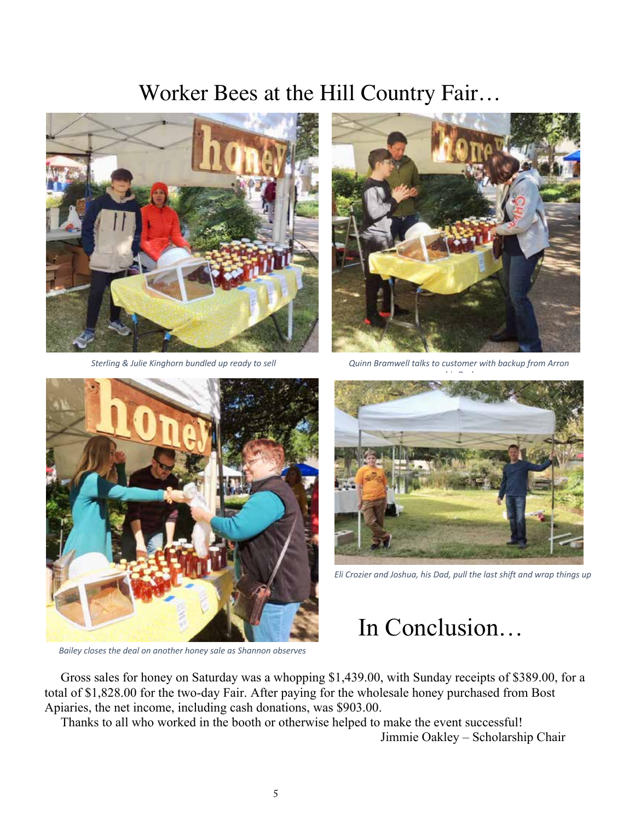# Worker Bees at the Hill Country Fair…





*Sterling & Julie Kinghorn bundled up ready to sell Quinn Bramwell talks to customer with backup from Arron* 



*Bailey closes the deal on another honey sale as Shannon observes*



*Eli Crozier and Joshua, his Dad, pull the last shift and wrap things up*

# In Conclusion…

 Gross sales for honey on Saturday was a whopping \$1,439.00, with Sunday receipts of \$389.00, for a total of \$1,828.00 for the two-day Fair. After paying for the wholesale honey purchased from Bost Apiaries, the net income, including cash donations, was \$903.00.

Thanks to all who worked in the booth or otherwise helped to make the event successful!

Jimmie Oakley – Scholarship Chair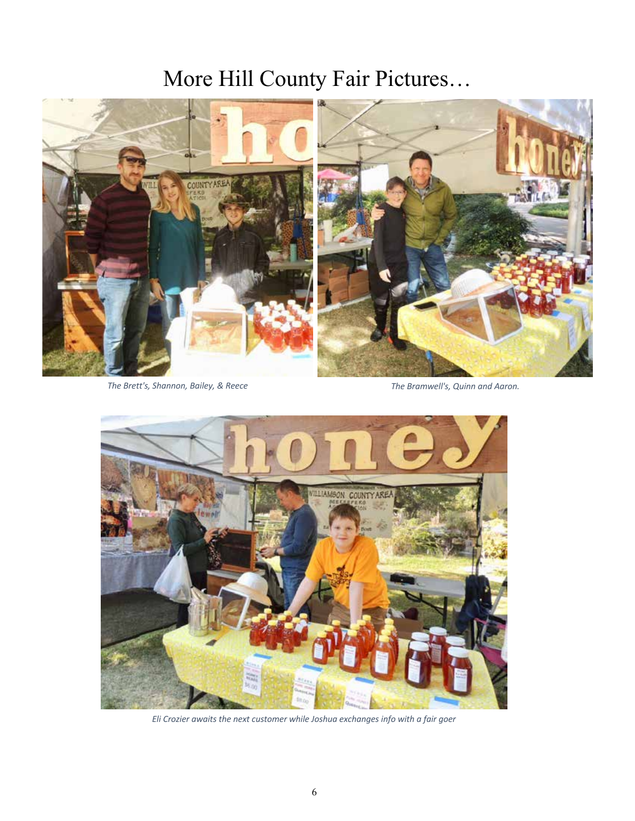# More Hill County Fair Pictures…



*The Brett's, Shannon, Bailey, & Reece The Bramwell's, Quinn and Aaron.*



*Eli Crozier awaits the next customer while Joshua exchanges info with a fair goer*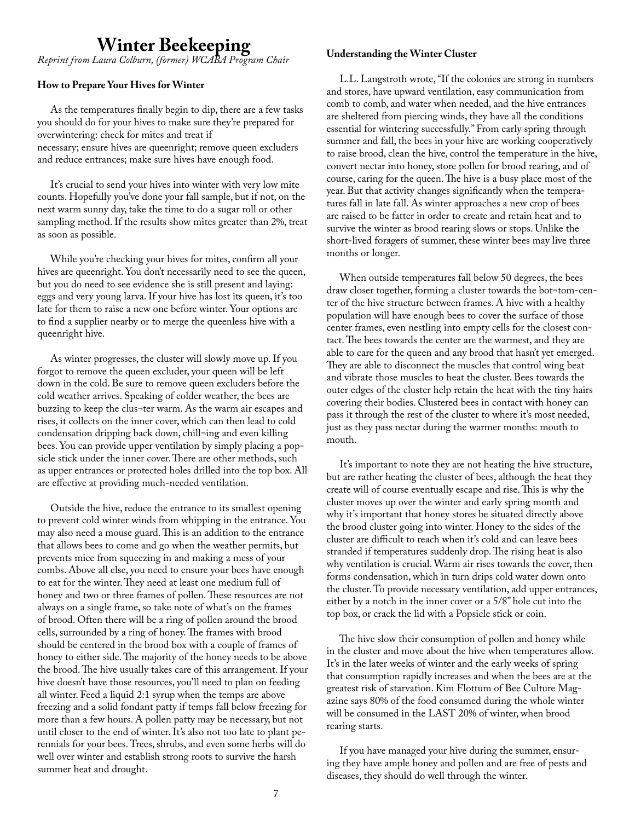# **Winter Beekeeping** *Reprint from Laura Colburn, (former) WCABA Program Chair*

### **How to Prepare Your Hives for Winter**

 As the temperatures finally begin to dip, there are a few tasks you should do for your hives to make sure they're prepared for overwintering: check for mites and treat if necessary; ensure hives are queenright; remove queen excluders and reduce entrances; make sure hives have enough food.

 It's crucial to send your hives into winter with very low mite counts. Hopefully you've done your fall sample, but if not, on the next warm sunny day, take the time to do a sugar roll or other sampling method. If the results show mites greater than 2%, treat as soon as possible.

 While you're checking your hives for mites, confirm all your hives are queenright. You don't necessarily need to see the queen, but you do need to see evidence she is still present and laying: eggs and very young larva. If your hive has lost its queen, it's too late for them to raise a new one before winter. Your options are to find a supplier nearby or to merge the queenless hive with a queenright hive.

 As winter progresses, the cluster will slowly move up. If you forgot to remove the queen excluder, your queen will be left down in the cold. Be sure to remove queen excluders before the cold weather arrives. Speaking of colder weather, the bees are buzzing to keep the clus¬ter warm. As the warm air escapes and rises, it collects on the inner cover, which can then lead to cold condensation dripping back down, chill¬ing and even killing bees. You can provide upper ventilation by simply placing a popsicle stick under the inner cover. There are other methods, such as upper entrances or protected holes drilled into the top box. All are effective at providing much-needed ventilation.

 Outside the hive, reduce the entrance to its smallest opening to prevent cold winter winds from whipping in the entrance. You may also need a mouse guard. This is an addition to the entrance that allows bees to come and go when the weather permits, but prevents mice from squeezing in and making a mess of your combs. Above all else, you need to ensure your bees have enough to eat for the winter. They need at least one medium full of honey and two or three frames of pollen. These resources are not always on a single frame, so take note of what's on the frames of brood. Often there will be a ring of pollen around the brood cells, surrounded by a ring of honey. The frames with brood should be centered in the brood box with a couple of frames of honey to either side. The majority of the honey needs to be above the brood. The hive usually takes care of this arrangement. If your hive doesn't have those resources, you'll need to plan on feeding all winter. Feed a liquid 2:1 syrup when the temps are above freezing and a solid fondant patty if temps fall below freezing for more than a few hours. A pollen patty may be necessary, but not until closer to the end of winter. It's also not too late to plant perennials for your bees. Trees, shrubs, and even some herbs will do well over winter and establish strong roots to survive the harsh summer heat and drought.

#### **Understanding the Winter Cluster**

 L.L. Langstroth wrote, "If the colonies are strong in numbers and stores, have upward ventilation, easy communication from comb to comb, and water when needed, and the hive entrances are sheltered from piercing winds, they have all the conditions essential for wintering successfully." From early spring through summer and fall, the bees in your hive are working cooperatively to raise brood, clean the hive, control the temperature in the hive, convert nectar into honey, store pollen for brood rearing, and of course, caring for the queen. The hive is a busy place most of the year. But that activity changes significantly when the temperatures fall in late fall. As winter approaches a new crop of bees are raised to be fatter in order to create and retain heat and to survive the winter as brood rearing slows or stops. Unlike the short-lived foragers of summer, these winter bees may live three months or longer.

 When outside temperatures fall below 50 degrees, the bees draw closer together, forming a cluster towards the bot¬tom-center of the hive structure between frames. A hive with a healthy population will have enough bees to cover the surface of those center frames, even nestling into empty cells for the closest contact. The bees towards the center are the warmest, and they are able to care for the queen and any brood that hasn't yet emerged. They are able to disconnect the muscles that control wing beat and vibrate those muscles to heat the cluster. Bees towards the outer edges of the cluster help retain the heat with the tiny hairs covering their bodies. Clustered bees in contact with honey can pass it through the rest of the cluster to where it's most needed, just as they pass nectar during the warmer months: mouth to mouth.

 It's important to note they are not heating the hive structure, but are rather heating the cluster of bees, although the heat they create will of course eventually escape and rise. This is why the cluster moves up over the winter and early spring month and why it's important that honey stores be situated directly above the brood cluster going into winter. Honey to the sides of the cluster are difficult to reach when it's cold and can leave bees stranded if temperatures suddenly drop. The rising heat is also why ventilation is crucial. Warm air rises towards the cover, then forms condensation, which in turn drips cold water down onto the cluster. To provide necessary ventilation, add upper entrances, either by a notch in the inner cover or a 5/8" hole cut into the top box, or crack the lid with a Popsicle stick or coin.

 The hive slow their consumption of pollen and honey while in the cluster and move about the hive when temperatures allow. It's in the later weeks of winter and the early weeks of spring that consumption rapidly increases and when the bees are at the greatest risk of starvation. Kim Flottum of Bee Culture Magazine says 80% of the food consumed during the whole winter will be consumed in the LAST 20% of winter, when brood rearing starts.

 If you have managed your hive during the summer, ensuring they have ample honey and pollen and are free of pests and diseases, they should do well through the winter.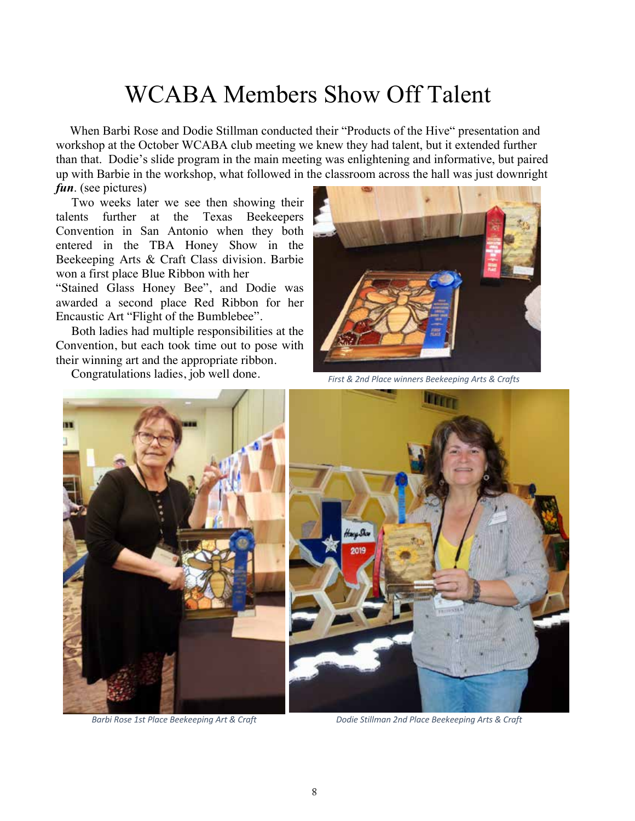# WCABA Members Show Off Talent

 When Barbi Rose and Dodie Stillman conducted their "Products of the Hive" presentation and workshop at the October WCABA club meeting we knew they had talent, but it extended further than that. Dodie's slide program in the main meeting was enlightening and informative, but paired up with Barbie in the workshop, what followed in the classroom across the hall was just downright *fun*. (see pictures)

 Two weeks later we see then showing their talents further at the Texas Beekeepers Convention in San Antonio when they both entered in the TBA Honey Show in the Beekeeping Arts & Craft Class division. Barbie won a first place Blue Ribbon with her

"Stained Glass Honey Bee", and Dodie was awarded a second place Red Ribbon for her Encaustic Art "Flight of the Bumblebee".

 Both ladies had multiple responsibilities at the Convention, but each took time out to pose with their winning art and the appropriate ribbon.

Congratulations ladies, job well done.



*First & 2nd Place winners Beekeeping Arts & Crafts*





*Barbi Rose 1st Place Beekeeping Art & Craft Dodie Stillman 2nd Place Beekeeping Arts & Craft*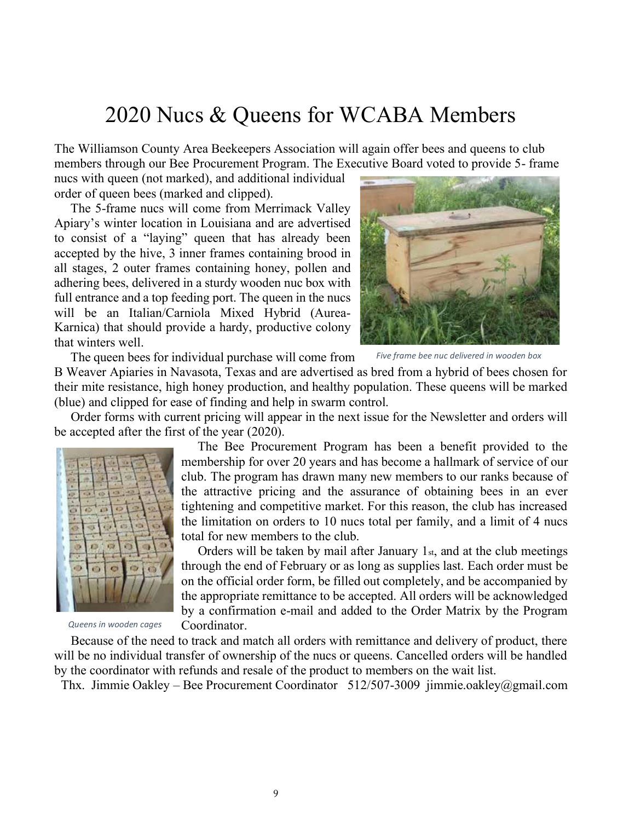## 2020 Nucs & Queens for WCABA Members

The Williamson County Area Beekeepers Association will again offer bees and queens to club members through our Bee Procurement Program. The Executive Board voted to provide 5- frame

nucs with queen (not marked), and additional individual order of queen bees (marked and clipped).

 The 5-frame nucs will come from Merrimack Valley Apiary's winter location in Louisiana and are advertised to consist of a "laying" queen that has already been accepted by the hive, 3 inner frames containing brood in all stages, 2 outer frames containing honey, pollen and adhering bees, delivered in a sturdy wooden nuc box with full entrance and a top feeding port. The queen in the nucs will be an Italian/Carniola Mixed Hybrid (Aurea-Karnica) that should provide a hardy, productive colony that winters well.



The queen bees for individual purchase will come from

*Five frame bee nuc delivered in wooden box*

B Weaver Apiaries in Navasota, Texas and are advertised as bred from a hybrid of bees chosen for their mite resistance, high honey production, and healthy population. These queens will be marked (blue) and clipped for ease of finding and help in swarm control.

 Order forms with current pricing will appear in the next issue for the Newsletter and orders will be accepted after the first of the year (2020).



*Queens in wooden cages*

 The Bee Procurement Program has been a benefit provided to the membership for over 20 years and has become a hallmark of service of our club. The program has drawn many new members to our ranks because of the attractive pricing and the assurance of obtaining bees in an ever tightening and competitive market. For this reason, the club has increased the limitation on orders to 10 nucs total per family, and a limit of 4 nucs total for new members to the club.

 Orders will be taken by mail after January 1st, and at the club meetings through the end of February or as long as supplies last. Each order must be on the official order form, be filled out completely, and be accompanied by the appropriate remittance to be accepted. All orders will be acknowledged by a confirmation e-mail and added to the Order Matrix by the Program Coordinator.

 Because of the need to track and match all orders with remittance and delivery of product, there will be no individual transfer of ownership of the nucs or queens. Cancelled orders will be handled by the coordinator with refunds and resale of the product to members on the wait list.

Thx. Jimmie Oakley – Bee Procurement Coordinator 512/507-3009 jimmie.oakley@gmail.com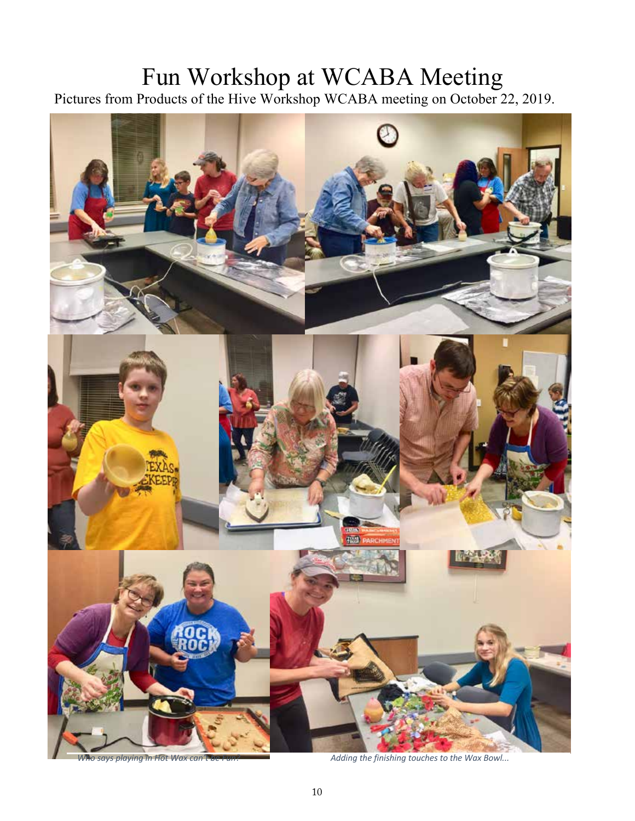# Fun Workshop at WCABA Meeting

Pictures from Products of the Hive Workshop WCABA meeting on October 22, 2019.



*Who says playing in Hot Wax can't be Fun? Adding the finishing touches to the Wax Bowl...*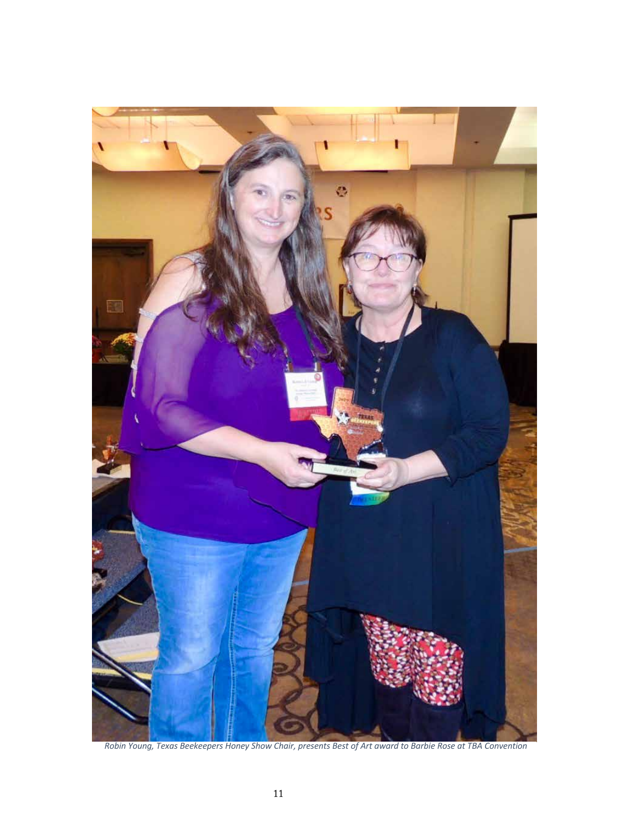

*Robin Young, Texas Beekeepers Honey Show Chair, presents Best of Art award to Barbie Rose at TBA Convention*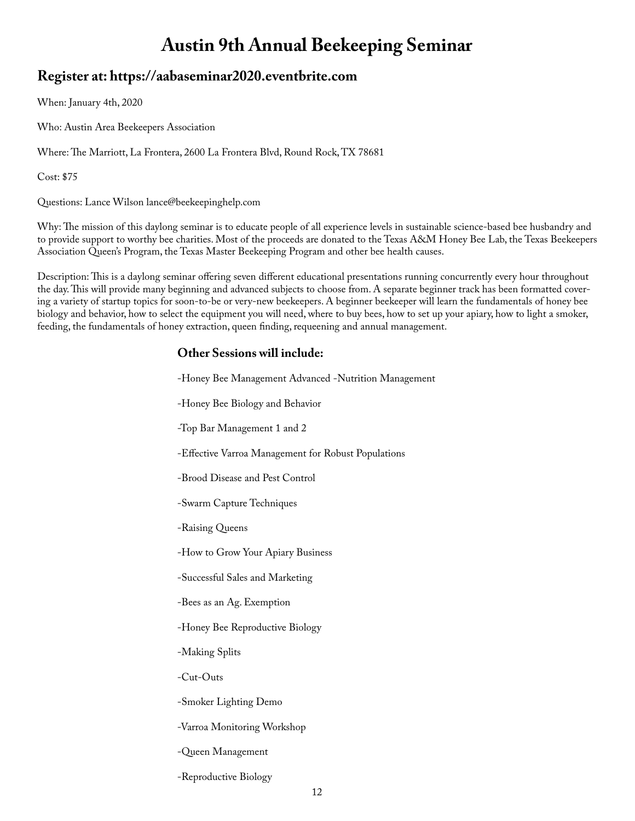## **Austin 9th Annual Beekeeping Seminar**

### **Register at: https://aabaseminar2020.eventbrite.com**

When: January 4th, 2020

Who: Austin Area Beekeepers Association

Where: The Marriott, La Frontera, 2600 La Frontera Blvd, Round Rock, TX 78681

Cost: \$75

Questions: Lance Wilson lance@beekeepinghelp.com

Why: The mission of this daylong seminar is to educate people of all experience levels in sustainable science-based bee husbandry and to provide support to worthy bee charities. Most of the proceeds are donated to the Texas A&M Honey Bee Lab, the Texas Beekeepers Association Queen's Program, the Texas Master Beekeeping Program and other bee health causes.

Description: This is a daylong seminar offering seven different educational presentations running concurrently every hour throughout the day. This will provide many beginning and advanced subjects to choose from. A separate beginner track has been formatted covering a variety of startup topics for soon-to-be or very-new beekeepers. A beginner beekeeper will learn the fundamentals of honey bee biology and behavior, how to select the equipment you will need, where to buy bees, how to set up your apiary, how to light a smoker, feeding, the fundamentals of honey extraction, queen finding, requeening and annual management.

 $\mathbb{R}^{\mathbb{Z}}$ 

### **Other Sessions will include:**

 $\sim$ 

| -Honey Bee Management Advanced -Nutrition Management |
|------------------------------------------------------|
| -Honey Bee Biology and Behavior                      |
| -Top Bar Management 1 and 2                          |
| -Effective Varroa Management for Robust Populations  |
| -Brood Disease and Pest Control                      |
| -Swarm Capture Techniques                            |
| -Raising Queens                                      |
| -How to Grow Your Apiary Business                    |
| -Successful Sales and Marketing                      |
| -Bees as an Ag. Exemption                            |
| -Honey Bee Reproductive Biology                      |
| -Making Splits                                       |
| -Cut-Outs                                            |
| -Smoker Lighting Demo                                |
| -Varroa Monitoring Workshop                          |
| -Queen Management                                    |
| -Reproductive Biology                                |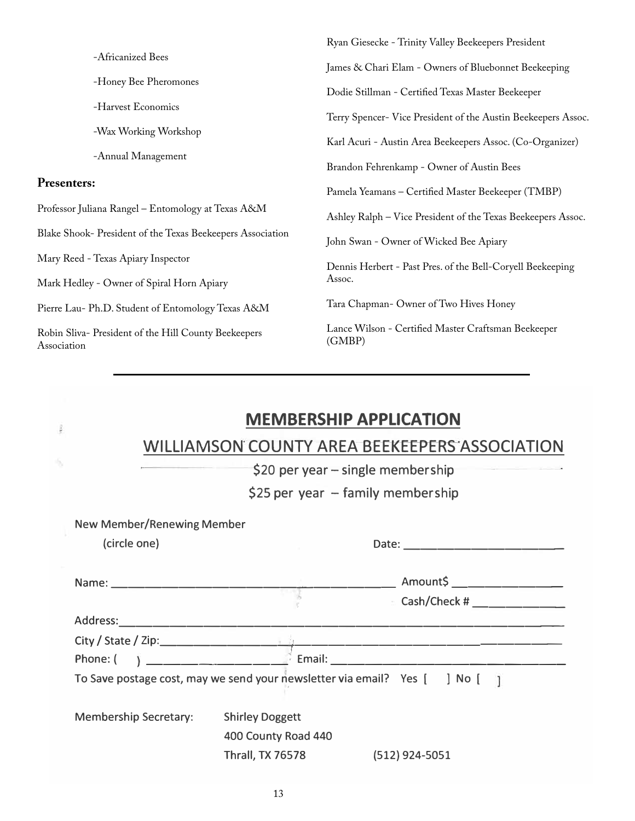|                                                                     | Ryan Giesecke - Trinity Valley Beekeepers President           |  |
|---------------------------------------------------------------------|---------------------------------------------------------------|--|
| -Africanized Bees                                                   | James & Chari Elam - Owners of Bluebonnet Beekeeping          |  |
| -Honey Bee Pheromones                                               | Dodie Stillman - Certified Texas Master Beekeeper             |  |
| -Harvest Economics                                                  |                                                               |  |
| -Wax Working Workshop                                               | Terry Spencer- Vice President of the Austin Beekeepers Assoc. |  |
|                                                                     | Karl Acuri - Austin Area Beekeepers Assoc. (Co-Organizer)     |  |
| -Annual Management                                                  | Brandon Fehrenkamp - Owner of Austin Bees                     |  |
| <b>Presenters:</b>                                                  | Pamela Yeamans - Certified Master Beekeeper (TMBP)            |  |
| Professor Juliana Rangel - Entomology at Texas A&M                  | Ashley Ralph – Vice President of the Texas Beekeepers Assoc.  |  |
| Blake Shook- President of the Texas Beekeepers Association          | John Swan - Owner of Wicked Bee Apiary                        |  |
| Mary Reed - Texas Apiary Inspector                                  | Dennis Herbert - Past Pres. of the Bell-Coryell Beekeeping    |  |
| Mark Hedley - Owner of Spiral Horn Apiary                           | Assoc.                                                        |  |
| Pierre Lau- Ph.D. Student of Entomology Texas A&M                   | Tara Chapman-Owner of Two Hives Honey                         |  |
| Robin Sliva- President of the Hill County Beekeepers<br>Association | Lance Wilson - Certified Master Craftsman Beekeeper<br>(GMBP) |  |
|                                                                     |                                                               |  |

|                                   |                                                                                                                                                                                                                                  | <b>MEMBERSHIP APPLICATION</b>                                                                                                                                                                                                  |
|-----------------------------------|----------------------------------------------------------------------------------------------------------------------------------------------------------------------------------------------------------------------------------|--------------------------------------------------------------------------------------------------------------------------------------------------------------------------------------------------------------------------------|
|                                   |                                                                                                                                                                                                                                  | WILLIAMSON COUNTY AREA BEEKEEPERS ASSOCIATION                                                                                                                                                                                  |
|                                   |                                                                                                                                                                                                                                  | $$20$ per year – single membership                                                                                                                                                                                             |
|                                   |                                                                                                                                                                                                                                  | $$25$ per year - family membership                                                                                                                                                                                             |
| <b>New Member/Renewing Member</b> |                                                                                                                                                                                                                                  |                                                                                                                                                                                                                                |
| (circle one)                      |                                                                                                                                                                                                                                  |                                                                                                                                                                                                                                |
|                                   |                                                                                                                                                                                                                                  | Amount\$ _______________                                                                                                                                                                                                       |
|                                   |                                                                                                                                                                                                                                  | Cash/Check #                                                                                                                                                                                                                   |
| Address:                          |                                                                                                                                                                                                                                  |                                                                                                                                                                                                                                |
|                                   |                                                                                                                                                                                                                                  |                                                                                                                                                                                                                                |
| Phone: (                          | $\mathbf{Y}$ and the contract of the contract of the contract of the contract of the contract of the contract of the contract of the contract of the contract of the contract of the contract of the contract of the contract of | Email: Email: Email: Email: Email: Email: Email: Email: Email: Email: Email: Email: Email: Email: Email: Email: Email: Email: Email: Email: Email: Email: Email: Email: Email: Email: Email: Email: Email: Email: Email: Email |
|                                   |                                                                                                                                                                                                                                  | To Save postage cost, may we send your newsletter via email? Yes $[$ ] No $[$ ]                                                                                                                                                |
| <b>Membership Secretary:</b>      | <b>Shirley Doggett</b>                                                                                                                                                                                                           |                                                                                                                                                                                                                                |
|                                   | 400 County Road 440                                                                                                                                                                                                              |                                                                                                                                                                                                                                |
|                                   | <b>Thrall, TX 76578</b>                                                                                                                                                                                                          | $(512)$ 924-5051                                                                                                                                                                                                               |
|                                   |                                                                                                                                                                                                                                  |                                                                                                                                                                                                                                |